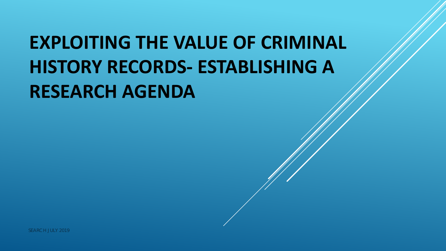# **EXPLOITING THE VALUE OF CRIMINAL HISTORY RECORDS- ESTABLISHING A RESEARCH AGENDA**

SEARCH JULY 2019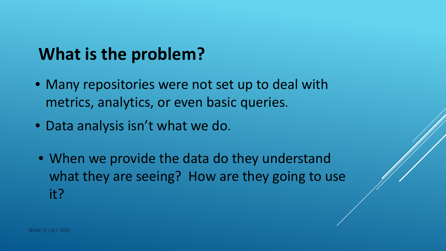# **What is the problem?**

- Many repositories were not set up to deal with metrics, analytics, or even basic queries.
- Data analysis isn't what we do.
- When we provide the data do they understand what they are seeing? How are they going to use it?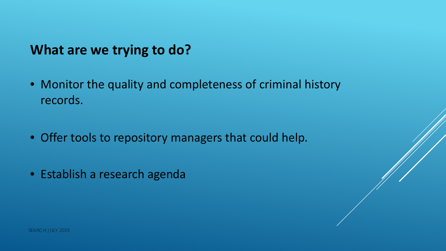#### **What are we trying to do?**

- Monitor the quality and completeness of criminal history records.
- Offer tools to repository managers that could help.
- Establish a research agenda

SEARCH JULY 2019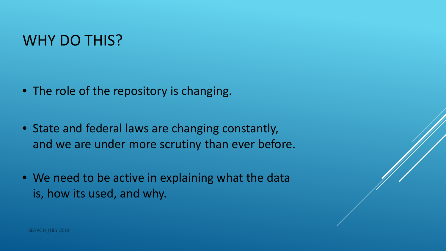### WHY DO THIS?

- The role of the repository is changing.
- State and federal laws are changing constantly, and we are under more scrutiny than ever before.
- We need to be active in explaining what the data is, how its used, and why.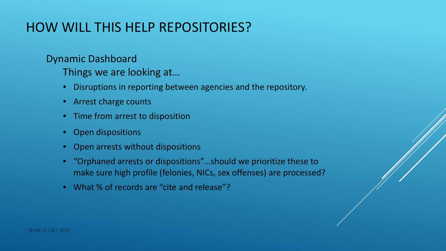#### HOW WILL THIS HELP REPOSITORIES?

Dynamic Dashboard

Things we are looking at…

- Disruptions in reporting between agencies and the repository.
- Arrest charge counts
- Time from arrest to disposition
- Open dispositions
- Open arrests without dispositions
- "Orphaned arrests or dispositions"…should we prioritize these to make sure high profile (felonies, NICs, sex offenses) are processed?
- What % of records are "cite and release"?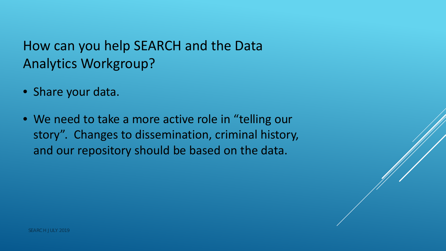#### How can you help SEARCH and the Data Analytics Workgroup?

- Share your data.
- We need to take a more active role in "telling our story". Changes to dissemination, criminal history, and our repository should be based on the data.